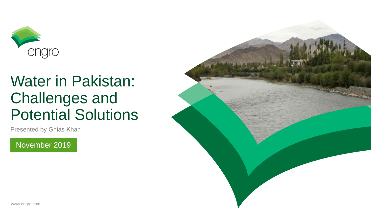

## Water in Pakistan: Challenges and Potential Solutions

Presented by Ghias Khan

November 2019

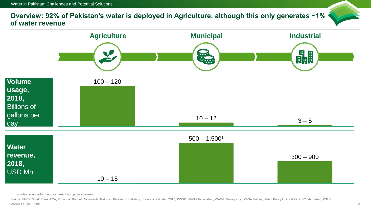**Overview: 92% of Pakistan's water is deployed in Agriculture, although this only generates ~1% of water revenue**



1 Includes revenue for the government and private tankers

www.engro.com 2 Source: UNDP, World Bank JICA, Provincial Budget Documents, Pakistan Bureau of Statistics, Survey of Pakistan 2017, KWSB, WASA Faisalabad, WASA Rawalpindi, WASA Multan, Urban Policy Unit – KPK, CDC Islamabad, PSLM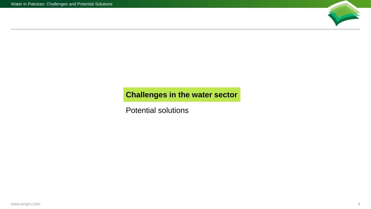

## <span id="page-2-0"></span>**Challenges in the water sector**

[Potential solutions](#page-8-0)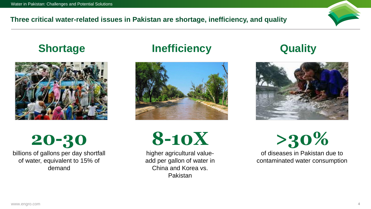#### **Three critical water-related issues in Pakistan are shortage, inefficiency, and quality**



# **20-30**

billions of gallons per day shortfall of water, equivalent to 15% of demand

## **Shortage Manufacture Inefficiency Cuality**



**8-10X**

higher agricultural valueadd per gallon of water in China and Korea vs. Pakistan



**>30%** of diseases in Pakistan due to contaminated water consumption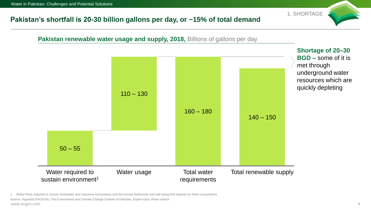#### **Pakistan's shortfall is 20-30 billion gallons per day, or ~15% of total demand**



www.engro.com 5 1 Water flows required to sustain freshwater and estuarine ecosystems and the human livelihoods and well being that depend on these ecosystems Source: Aquastat (FAO/UN), The Environment and Climate Change Outlook of Pakistan, Expert input, Press search

1. SHORTAGE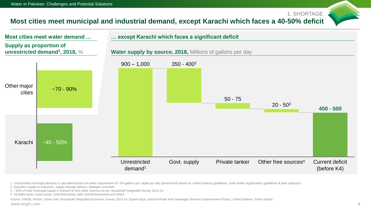### **Most cities meet municipal and industrial demand, except Karachi which faces a 40-50% deficit**



1 Unrestricted municipal demand is calculated based on water requirement of ~54 gallons per capita per day (benchmark based on United Nations guidelines, Safe Water organization guidelines & peer analysis)

- 2 Excludes supply to industries, supply through tankers, leakages and theft
- 3 ~10% of total municipal supply in Karachi is from other sources as per Household Integrated Survey 2013-14
- 4 Includes bores, hand pump, motorized pump, well, river/stream/canal and others

www.engro.com 6 Source: KWSB, WASA, Urban Unit; Household Integrated Economic Survey 2013-14, Expert input, Karachi Water And Sewerage Services Improvement Project, United Nations, Press search

1. SHORTAGE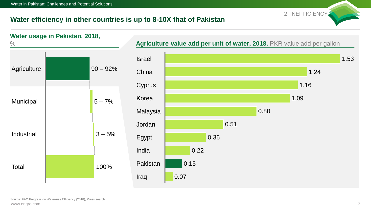#### **Water efficiency in other countries is up to 8-10X that of Pakistan**

2. INEFFICIENCY



www.engro.com 7 Source: FAO Progress on Water-use Efficiency (2018), Press search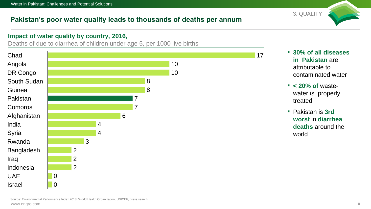## **Pakistan's poor water quality leads to thousands of deaths per annum**

#### **Impact of water quality by country, 2016,**

Deaths of due to diarrhea of children under age 5, per 1000 live births



▪ **30% of all diseases in Pakistan** are attributable to contaminated water

3. QUALITY

- **< 20% of** wastewater is properly treated
- Pakistan is 3rd **worst** in **diarrhea deaths** around the world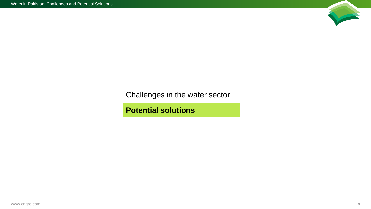

<span id="page-8-0"></span>[Challenges in the water sector](#page-2-0)

**Potential solutions**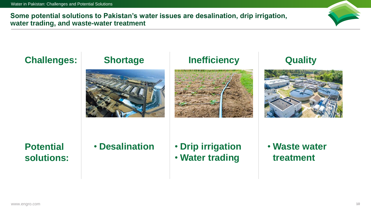**Some potential solutions to Pakistan's water issues are desalination, drip irrigation, water trading, and waste-water treatment**



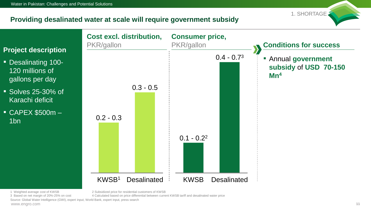#### **Providing desalinated water at scale will require government subsidy**



1 Weighted average cost of KWSB 2 Subsidized price for residential customers of KWSB

3 Based on net margin of 20%-25% on cost 4 Calculated based on price differential between current KWSB tariff and desalinated water price

www.engro.com 11 Source: Global Water Intelligence (GWI), expert input, World Bank, expert input, press search

1. SHORTAGE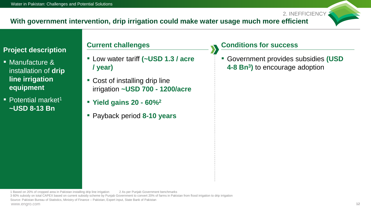#### **With government intervention, drip irrigation could make water usage much more efficient**

#### **Project description**

- $\blacksquare$  Manufacture & installation of **drip line irrigation equipment**
- Potential market<sup>1</sup> **~USD 8-13 Bn**

- Low water tariff **(~USD 1.3 / acre / year)**
- Cost of installing drip line irrigation **~USD 700 - 1200/acre**
- **Yield gains 20 - 60%<sup>2</sup>**
- Payback period **8-10 years**

#### **Current challenges Conditions for success**

▪ Government provides subsidies **(USD 4-8 Bn<sup>3</sup> )** to encourage adoption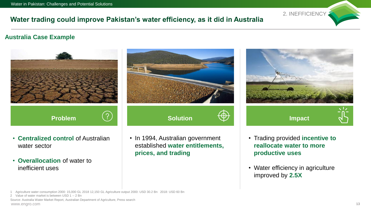## **Water trading could improve Pakistan's water efficiency, as it did in Australia**

#### **Australia Case Example**



• Water efficiency in agriculture improved by **2.5X**

2. INEFFICIENCY

1 Agriculture water consumption 2000: 15,000 GL 2018 12,150 GL Agriculture output 2000: USD 30.2 Bn 2018: USD 60 Bn

www.engro.com 13 Source: Australia Water Market Report, Australian Department of Agriculture, Press search

<sup>2</sup> Value of water market is between USD 1 -- 2 Bn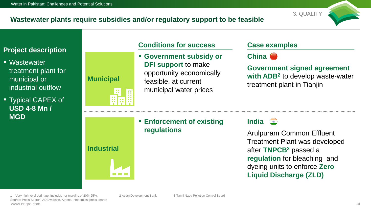#### **Wastewater plants require subsidies and/or regulatory support to be feasible**



#### **Project description**

- Wastewater treatment plant for municipal or industrial outflow
- Typical CAPEX of **USD 4-8 Mn / MGD**

# **Municipal**

**Industrial**

### **Conditions for success Case examples**

▪ **Government subsidy or DFI support** to make opportunity economically feasible, at current municipal water prices

**China**

**Government signed agreement with ADB<sup>2</sup>** to develop waste-water treatment plant in Tianjin

▪ **Enforcement of existing regulations**

**India**

Arulpuram Common Effluent Treatment Plant was developed after **TNPCB<sup>3</sup>** passed a **regulation** for bleaching and dyeing units to enforce **Zero Liquid Discharge (ZLD)**

www.engro.com 14 Source: Press Search; ADB website, Athena Infonomics; press search 1 Very high-level estimate. Includes net margins of 20%-25%. 2 Asian Development Bank 3 Tamil Nadu Pollution Control Board